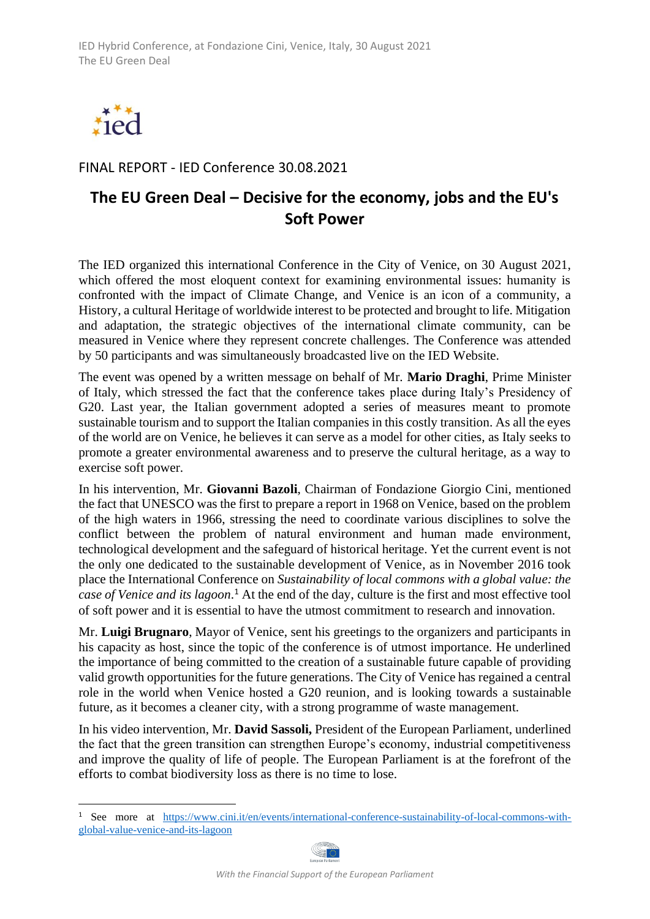

FINAL REPORT - IED Conference 30.08.2021

## **The EU Green Deal – Decisive for the economy, jobs and the EU's Soft Power**

The IED organized this international Conference in the City of Venice, on 30 August 2021, which offered the most eloquent context for examining environmental issues: humanity is confronted with the impact of Climate Change, and Venice is an icon of a community, a History, a cultural Heritage of worldwide interest to be protected and brought to life. Mitigation and adaptation, the strategic objectives of the international climate community, can be measured in Venice where they represent concrete challenges. The Conference was attended by 50 participants and was simultaneously broadcasted live on the IED Website.

The event was opened by a written message on behalf of Mr. **Mario Draghi**, Prime Minister of Italy, which stressed the fact that the conference takes place during Italy's Presidency of G20. Last year, the Italian government adopted a series of measures meant to promote sustainable tourism and to support the Italian companies in this costly transition. As all the eyes of the world are on Venice, he believes it can serve as a model for other cities, as Italy seeks to promote a greater environmental awareness and to preserve the cultural heritage, as a way to exercise soft power.

In his intervention, Mr. **Giovanni Bazoli**, Chairman of Fondazione Giorgio Cini, mentioned the fact that UNESCO was the first to prepare a report in 1968 on Venice, based on the problem of the high waters in 1966, stressing the need to coordinate various disciplines to solve the conflict between the problem of natural environment and human made environment, technological development and the safeguard of historical heritage. Yet the current event is not the only one dedicated to the sustainable development of Venice, as in November 2016 took place the International Conference on *Sustainability of local commons with a global value: the case of Venice and its lagoon*. <sup>1</sup> At the end of the day, culture is the first and most effective tool of soft power and it is essential to have the utmost commitment to research and innovation.

Mr. **Luigi Brugnaro**, Mayor of Venice, sent his greetings to the organizers and participants in his capacity as host, since the topic of the conference is of utmost importance. He underlined the importance of being committed to the creation of a sustainable future capable of providing valid growth opportunities for the future generations. The City of Venice has regained a central role in the world when Venice hosted a G20 reunion, and is looking towards a sustainable future, as it becomes a cleaner city, with a strong programme of waste management.

In his video intervention, Mr. **David Sassoli,** President of the European Parliament, underlined the fact that the green transition can strengthen Europe's economy, industrial competitiveness and improve the quality of life of people. The European Parliament is at the forefront of the efforts to combat biodiversity loss as there is no time to lose.

<sup>1</sup> See more at [https://www.cini.it/en/events/international-conference-sustainability-of-local-commons-with](https://www.cini.it/en/events/international-conference-sustainability-of-local-commons-with-global-value-venice-and-its-lagoon)[global-value-venice-and-its-lagoon](https://www.cini.it/en/events/international-conference-sustainability-of-local-commons-with-global-value-venice-and-its-lagoon)

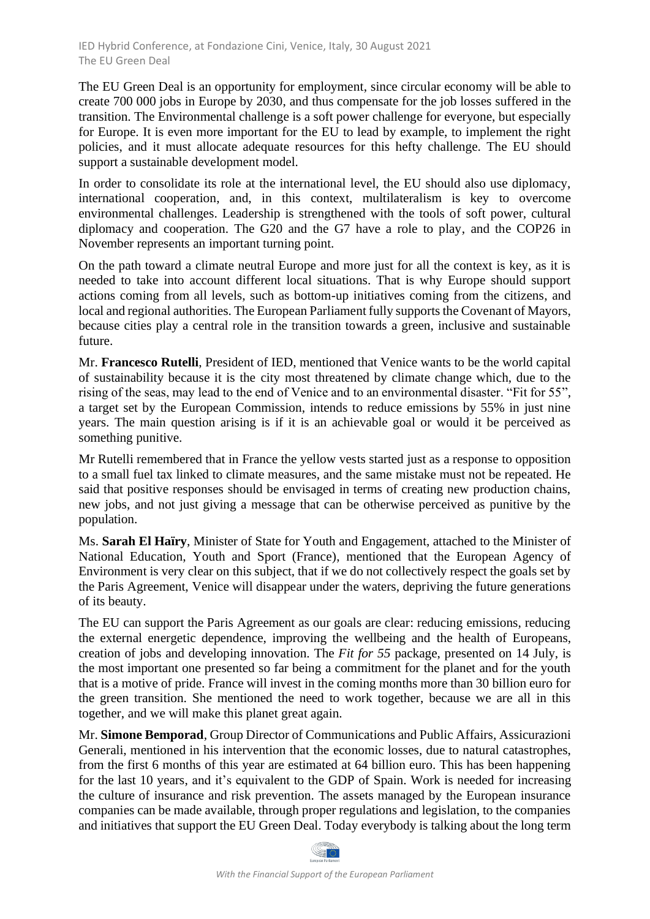The EU Green Deal is an opportunity for employment, since circular economy will be able to create 700 000 jobs in Europe by 2030, and thus compensate for the job losses suffered in the transition. The Environmental challenge is a soft power challenge for everyone, but especially for Europe. It is even more important for the EU to lead by example, to implement the right policies, and it must allocate adequate resources for this hefty challenge. The EU should support a sustainable development model.

In order to consolidate its role at the international level, the EU should also use diplomacy, international cooperation, and, in this context, multilateralism is key to overcome environmental challenges. Leadership is strengthened with the tools of soft power, cultural diplomacy and cooperation. The G20 and the G7 have a role to play, and the COP26 in November represents an important turning point.

On the path toward a climate neutral Europe and more just for all the context is key, as it is needed to take into account different local situations. That is why Europe should support actions coming from all levels, such as bottom-up initiatives coming from the citizens, and local and regional authorities. The European Parliament fully supports the Covenant of Mayors, because cities play a central role in the transition towards a green, inclusive and sustainable future.

Mr. **Francesco Rutelli**, President of IED, mentioned that Venice wants to be the world capital of sustainability because it is the city most threatened by climate change which, due to the rising of the seas, may lead to the end of Venice and to an environmental disaster. "Fit for 55", a target set by the European Commission, intends to reduce emissions by 55% in just nine years. The main question arising is if it is an achievable goal or would it be perceived as something punitive.

Mr Rutelli remembered that in France the yellow vests started just as a response to opposition to a small fuel tax linked to climate measures, and the same mistake must not be repeated. He said that positive responses should be envisaged in terms of creating new production chains, new jobs, and not just giving a message that can be otherwise perceived as punitive by the population.

Ms. **Sarah El Haïry**, Minister of State for Youth and Engagement, attached to the Minister of National Education, Youth and Sport (France), mentioned that the European Agency of Environment is very clear on this subject, that if we do not collectively respect the goals set by the Paris Agreement, Venice will disappear under the waters, depriving the future generations of its beauty.

The EU can support the Paris Agreement as our goals are clear: reducing emissions, reducing the external energetic dependence, improving the wellbeing and the health of Europeans, creation of jobs and developing innovation. The *Fit for 55* package, presented on 14 July, is the most important one presented so far being a commitment for the planet and for the youth that is a motive of pride. France will invest in the coming months more than 30 billion euro for the green transition. She mentioned the need to work together, because we are all in this together, and we will make this planet great again.

Mr. **Simone Bemporad**, Group Director of Communications and Public Affairs, Assicurazioni Generali, mentioned in his intervention that the economic losses, due to natural catastrophes, from the first 6 months of this year are estimated at 64 billion euro. This has been happening for the last 10 years, and it's equivalent to the GDP of Spain. Work is needed for increasing the culture of insurance and risk prevention. The assets managed by the European insurance companies can be made available, through proper regulations and legislation, to the companies and initiatives that support the EU Green Deal. Today everybody is talking about the long term